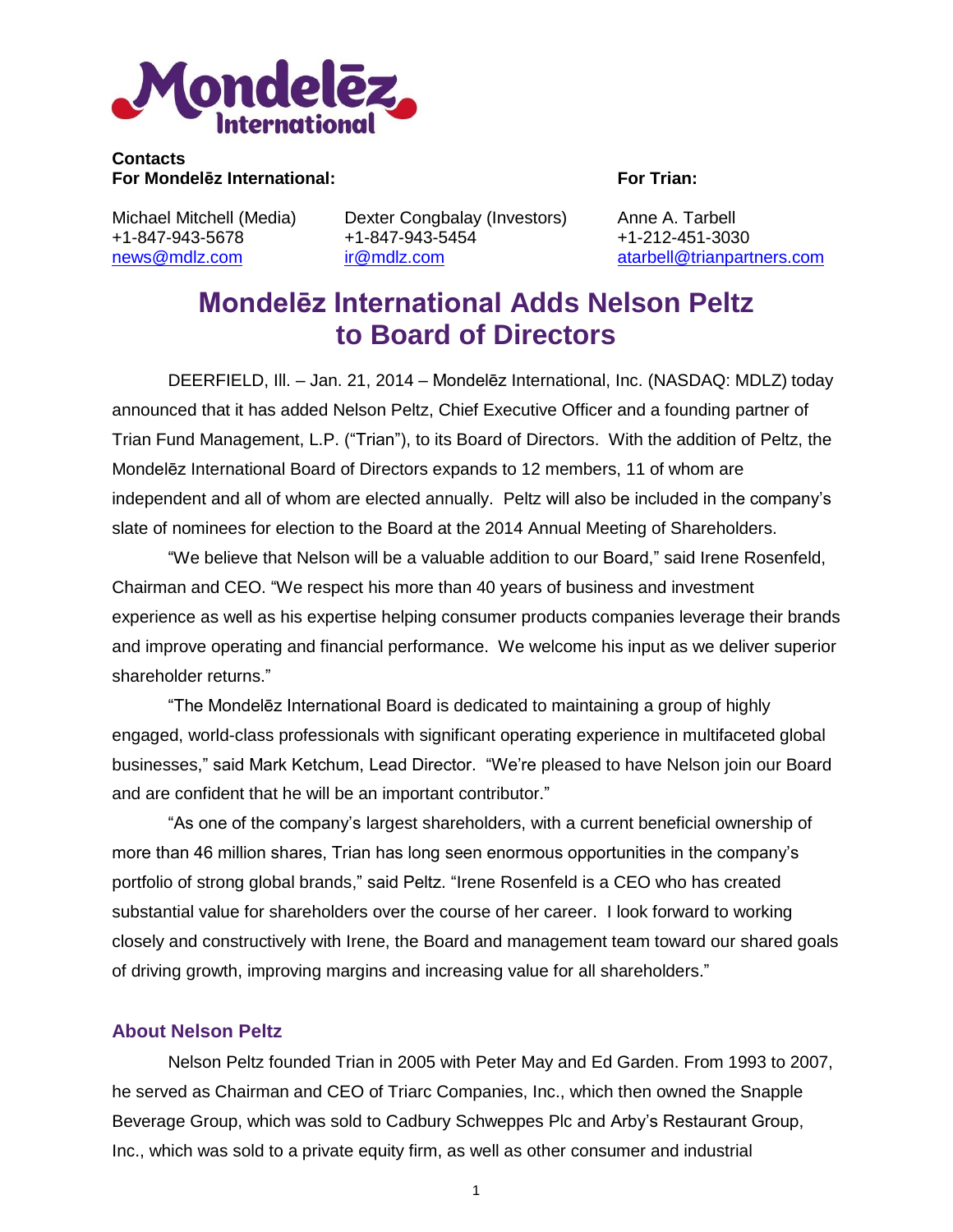

### **Contacts For Mondelēz International: For Trian:**

Michael Mitchell (Media) +1-847-943-5678 [news@mdlz.com](mailto:news@mdlz.com)

Dexter Congbalay (Investors) +1-847-943-5454 [ir@mdlz.com](mailto:ir@mdlz.com)

Anne A. Tarbell +1-212-451-3030 [atarbell@trianpartners.com](mailto:atarbell@trianpartners.com)

# **Mondelēz International Adds Nelson Peltz to Board of Directors**

DEERFIELD, Ill. – Jan. 21, 2014 – Mondelēz International, Inc. (NASDAQ: MDLZ) today announced that it has added Nelson Peltz, Chief Executive Officer and a founding partner of Trian Fund Management, L.P. ("Trian"), to its Board of Directors. With the addition of Peltz, the Mondelēz International Board of Directors expands to 12 members, 11 of whom are independent and all of whom are elected annually. Peltz will also be included in the company's slate of nominees for election to the Board at the 2014 Annual Meeting of Shareholders.

"We believe that Nelson will be a valuable addition to our Board," said Irene Rosenfeld, Chairman and CEO. "We respect his more than 40 years of business and investment experience as well as his expertise helping consumer products companies leverage their brands and improve operating and financial performance. We welcome his input as we deliver superior shareholder returns."

"The Mondelēz International Board is dedicated to maintaining a group of highly engaged, world-class professionals with significant operating experience in multifaceted global businesses," said Mark Ketchum, Lead Director. "We're pleased to have Nelson join our Board and are confident that he will be an important contributor."

"As one of the company's largest shareholders, with a current beneficial ownership of more than 46 million shares, Trian has long seen enormous opportunities in the company's portfolio of strong global brands," said Peltz. "Irene Rosenfeld is a CEO who has created substantial value for shareholders over the course of her career. I look forward to working closely and constructively with Irene, the Board and management team toward our shared goals of driving growth, improving margins and increasing value for all shareholders."

## **About Nelson Peltz**

Nelson Peltz founded Trian in 2005 with Peter May and Ed Garden. From 1993 to 2007, he served as Chairman and CEO of Triarc Companies, Inc., which then owned the Snapple Beverage Group, which was sold to Cadbury Schweppes Plc and Arby's Restaurant Group, Inc., which was sold to a private equity firm, as well as other consumer and industrial

1